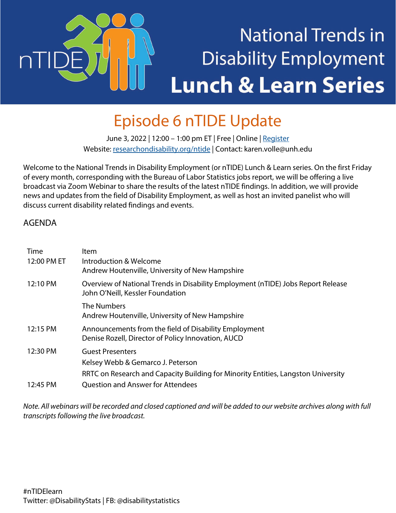# **National Trends in Disability Employment Lunch & Learn Series**

### Episode 6 nTIDE Update

June 3, 2022 | 12:00 - 1:00 pm ET | Free | Online [| Register](https://unh.zoom.us/webinar/register/WN_1i9dsy1-TDCEuVSWSaufcQ) Website[: researchondisability.org/ntide](http://www.researchondisability.org/ntide) | Contact[: karen.volle@unh.edu](mailto:karen.volle@unh.edu)

Welcome to the National Trends in Disability Employment (or nTIDE) Lunch & Learn series. On the first Friday of every month, corresponding with the Bureau of Labor Statistics jobs report, we will be offering a live broadcast via Zoom Webinar to share the results of the latest nTIDE findings. In addition, we will provide news and updates from the field of Disability Employment, as well as host an invited panelist who will discuss current disability related findings and events.

#### AGENDA

 $nT$ 

| Time        | ltem                                                                                                                 |
|-------------|----------------------------------------------------------------------------------------------------------------------|
| 12:00 PM ET | Introduction & Welcome<br>Andrew Houtenville, University of New Hampshire                                            |
| 12:10 PM    | Overview of National Trends in Disability Employment (nTIDE) Jobs Report Release<br>John O'Neill, Kessler Foundation |
|             | The Numbers<br>Andrew Houtenville, University of New Hampshire                                                       |
| 12:15 PM    | Announcements from the field of Disability Employment<br>Denise Rozell, Director of Policy Innovation, AUCD          |
| 12:30 PM    | <b>Guest Presenters</b>                                                                                              |
|             | Kelsey Webb & Gemarco J. Peterson                                                                                    |
|             | RRTC on Research and Capacity Building for Minority Entities, Langston University                                    |
| 12:45 PM    | <b>Question and Answer for Attendees</b>                                                                             |

*Note. All webinars will be recorded and closed captioned and will be added to our website archives along with full transcripts following the live broadcast.*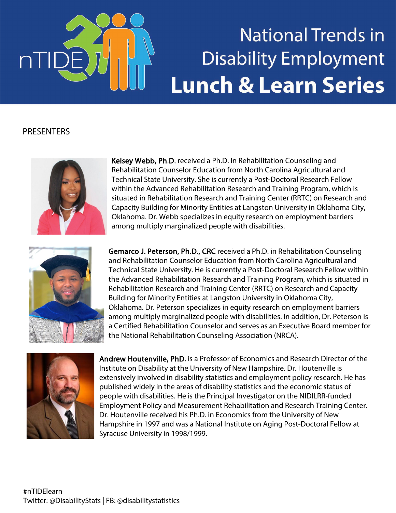

### **National Trends in Disability Employment Lunch & Learn Series**

#### **PRESENTERS**



Kelsey Webb, Ph.D. received a Ph.D. in Rehabilitation Counseling and Rehabilitation Counselor Education from North Carolina Agricultural and Technical State University. She is currently a Post-Doctoral Research Fellow within the Advanced Rehabilitation Research and Training Program, which is situated in Rehabilitation Research and Training Center (RRTC) on Research and Capacity Building for Minority Entities at Langston University in Oklahoma City, Oklahoma. Dr. Webb specializes in equity research on employment barriers among multiply marginalized people with disabilities.



Gemarco J. Peterson, Ph.D., CRC received a Ph.D. in Rehabilitation Counseling and Rehabilitation Counselor Education from North Carolina Agricultural and Technical State University. He is currently a Post-Doctoral Research Fellow within the Advanced Rehabilitation Research and Training Program, which is situated in Rehabilitation Research and Training Center (RRTC) on Research and Capacity Building for Minority Entities at Langston University in Oklahoma City, Oklahoma. Dr. Peterson specializes in equity research on employment barriers among multiply marginalized people with disabilities. In addition, Dr. Peterson is a Certified Rehabilitation Counselor and serves as an Executive Board member for the National Rehabilitation Counseling Association (NRCA).



Andrew Houtenville, PhD, is a Professor of Economics and Research Director of the Institute on Disability at the University of New Hampshire. Dr. Houtenville is extensively involved in disability statistics and employment policy research. He has published widely in the areas of disability statistics and the economic status of people with disabilities. He is the Principal Investigator on the NIDILRR-funded Employment Policy and Measurement Rehabilitation and Research Training Center. Dr. Houtenville received his Ph.D. in Economics from the University of New Hampshire in 1997 and was a National Institute on Aging Post-Doctoral Fellow at Syracuse University in 1998/1999.